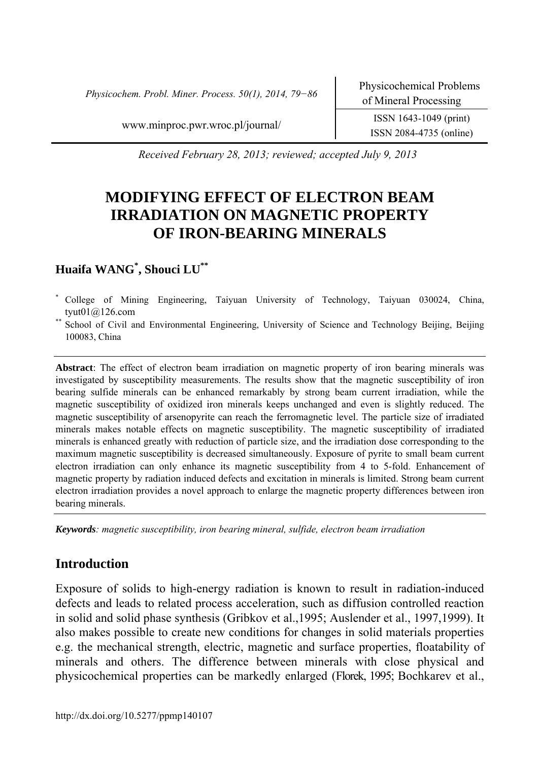*Physicochem. Probl. Miner. Process. 50(1), 2014, 79−86* Physicochemical Problems

www.minproc.pwr.wroc.pl/journal/ ISSN 1643-1049 (print)

ISSN 2084-4735 (online)

*Received February 28, 2013; reviewed; accepted July 9, 2013* 

# **MODIFYING EFFECT OF ELECTRON BEAM IRRADIATION ON MAGNETIC PROPERTY OF IRON-BEARING MINERALS**

# **Huaifa WANG\* , Shouci LU\*\***

- \* College of Mining Engineering, Taiyuan University of Technology, Taiyuan 030024, China, tyut01@126.com
- School of Civil and Environmental Engineering, University of Science and Technology Beijing, Beijing 100083, China

**Abstract**: The effect of electron beam irradiation on magnetic property of iron bearing minerals was investigated by susceptibility measurements. The results show that the magnetic susceptibility of iron bearing sulfide minerals can be enhanced remarkably by strong beam current irradiation, while the magnetic susceptibility of oxidized iron minerals keeps unchanged and even is slightly reduced. The magnetic susceptibility of arsenopyrite can reach the ferromagnetic level. The particle size of irradiated minerals makes notable effects on magnetic susceptibility. The magnetic susceptibility of irradiated minerals is enhanced greatly with reduction of particle size, and the irradiation dose corresponding to the maximum magnetic susceptibility is decreased simultaneously. Exposure of pyrite to small beam current electron irradiation can only enhance its magnetic susceptibility from 4 to 5-fold. Enhancement of magnetic property by radiation induced defects and excitation in minerals is limited. Strong beam current electron irradiation provides a novel approach to enlarge the magnetic property differences between iron bearing minerals.

*Keywords: magnetic susceptibility, iron bearing mineral, sulfide, electron beam irradiation* 

# **Introduction**

Exposure of solids to high-energy radiation is known to result in radiation-induced defects and leads to related process acceleration, such as diffusion controlled reaction in solid and solid phase synthesis (Gribkov et al.,1995; Auslender et al., 1997,1999). It also makes possible to create new conditions for changes in solid materials properties e.g. the mechanical strength, electric, magnetic and surface properties, floatability of minerals and others. The difference between minerals with close physical and physicochemical properties can be markedly enlarged (Florek, 1995; Bochkarev et al.,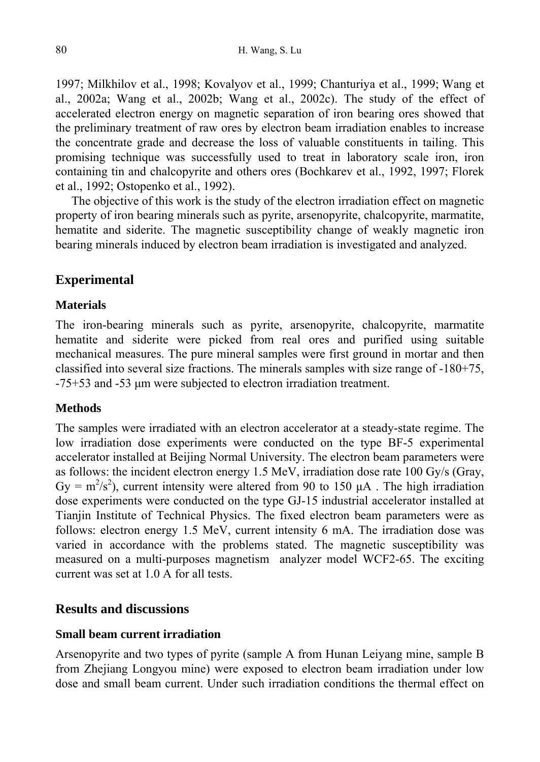1997; Milkhilov et al., 1998; Kovalyov et al., 1999; Chanturiya et al., 1999; Wang et al., 2002a; Wang et al., 2002b; Wang et al., 2002c). The study of the effect of accelerated electron energy on magnetic separation of iron bearing ores showed that the preliminary treatment of raw ores by electron beam irradiation enables to increase the concentrate grade and decrease the loss of valuable constituents in tailing. This promising technique was successfully used to treat in laboratory scale iron, iron containing tin and chalcopyrite and others ores (Bochkarev et al., 1992, 1997; Florek et al., 1992; Ostopenko et al., 1992).

The objective of this work is the study of the electron irradiation effect on magnetic property of iron bearing minerals such as pyrite, arsenopyrite, chalcopyrite, marmatite, hematite and siderite. The magnetic susceptibility change of weakly magnetic iron bearing minerals induced by electron beam irradiation is investigated and analyzed.

# **Experimental**

### **Materials**

The iron-bearing minerals such as pyrite, arsenopyrite, chalcopyrite, marmatite hematite and siderite were picked from real ores and purified using suitable mechanical measures. The pure mineral samples were first ground in mortar and then classified into several size fractions. The minerals samples with size range of -180+75, -75+53 and -53 µm were subjected to electron irradiation treatment.

## **Methods**

The samples were irradiated with an electron accelerator at a steady-state regime. The low irradiation dose experiments were conducted on the type BF-5 experimental accelerator installed at Beijing Normal University. The electron beam parameters were as follows: the incident electron energy 1.5 MeV, irradiation dose rate 100 Gy/s (Gray, Gy =  $m^2/s^2$ ), current intensity were altered from 90 to 150  $\mu$ A. The high irradiation dose experiments were conducted on the type GJ-15 industrial accelerator installed at Tianjin Institute of Technical Physics. The fixed electron beam parameters were as follows: electron energy 1.5 MeV, current intensity 6 mA. The irradiation dose was varied in accordance with the problems stated. The magnetic susceptibility was measured on a multi-purposes magnetism analyzer model WCF2-65. The exciting current was set at 1.0 A for all tests.

# **Results and discussions**

#### **Small beam current irradiation**

Arsenopyrite and two types of pyrite (sample A from Hunan Leiyang mine, sample B from Zhejiang Longyou mine) were exposed to electron beam irradiation under low dose and small beam current. Under such irradiation conditions the thermal effect on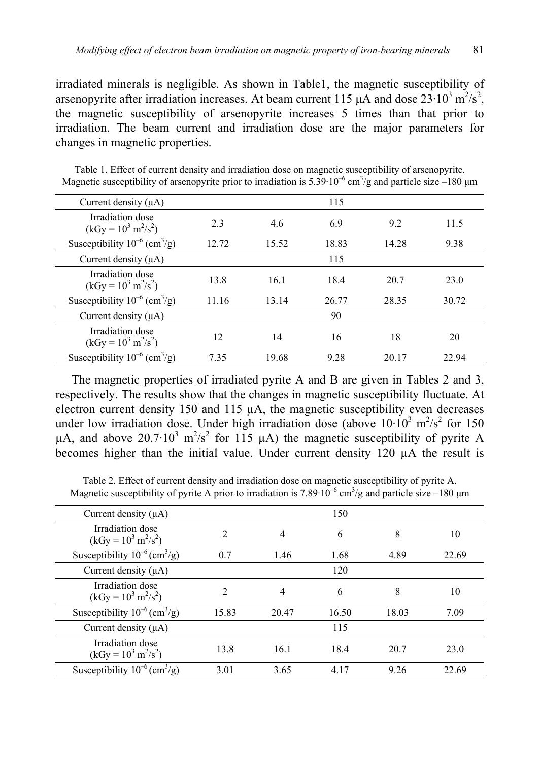irradiated minerals is negligible. As shown in Table1, the magnetic susceptibility of arsenopyrite after irradiation increases. At beam current 115  $\mu$ A and dose 23 $\cdot$ 10<sup>3</sup> m<sup>2</sup>/s<sup>2</sup>, the magnetic susceptibility of arsenopyrite increases 5 times than that prior to irradiation. The beam current and irradiation dose are the major parameters for changes in magnetic properties.

| Current density $(\mu A)$                                 |       |       | 115   |       |       |
|-----------------------------------------------------------|-------|-------|-------|-------|-------|
| Irradiation dose<br>$(kGy = 10^3 \text{ m}^2/\text{s}^2)$ | 2.3   | 4.6   | 6.9   | 9.2   | 11.5  |
| Susceptibility $10^{-6}$ (cm <sup>3</sup> /g)             | 12.72 | 15.52 | 18.83 | 14.28 | 9.38  |
| Current density $(\mu A)$                                 |       |       | 115   |       |       |
| Irradiation dose<br>$(kGy = 10^3 \text{ m}^2/\text{s}^2)$ | 13.8  | 16.1  | 18.4  | 20.7  | 23.0  |
| Susceptibility $10^{-6}$ (cm <sup>3</sup> /g)             | 11.16 | 13.14 | 26.77 | 28.35 | 30.72 |
| Current density $(\mu A)$                                 |       |       | 90    |       |       |
| Irradiation dose<br>$(kGy = 10^3 \text{ m}^2/\text{s}^2)$ | 12    | 14    | 16    | 18    | 20    |
| Susceptibility $10^{-6}$ (cm <sup>3</sup> /g)             | 7.35  | 19.68 | 9.28  | 20.17 | 22.94 |

Table 1. Effect of current density and irradiation dose on magnetic susceptibility of arsenopyrite. Magnetic susceptibility of arsenopyrite prior to irradiation is  $5.39 \cdot 10^{-6}$  cm<sup>3</sup>/g and particle size –180  $\mu$ m

The magnetic properties of irradiated pyrite A and B are given in Tables 2 and 3, respectively. The results show that the changes in magnetic susceptibility fluctuate. At electron current density 150 and 115  $\mu$ A, the magnetic susceptibility even decreases under low irradiation dose. Under high irradiation dose (above  $10 \cdot 10^3$  m<sup>2</sup>/s<sup>2</sup> for 150  $\mu$ A, and above 20.7 $\cdot$ 10<sup>3</sup> m<sup>2</sup>/s<sup>2</sup> for 115  $\mu$ A) the magnetic susceptibility of pyrite A becomes higher than the initial value. Under current density 120 µA the result is

Table 2. Effect of current density and irradiation dose on magnetic susceptibility of pyrite A. Magnetic susceptibility of pyrite A prior to irradiation is 7.89 $\cdot 10^{-6}$  cm<sup>3</sup>/g and particle size –180  $\mu$ m

| Current density $(\mu A)$                                 | 150   |       |       |       |       |  |  |
|-----------------------------------------------------------|-------|-------|-------|-------|-------|--|--|
| Irradiation dose<br>$(kGy = 10^3 \text{ m}^2/\text{s}^2)$ | 2     | 4     | 6     | 8     | 10    |  |  |
| Susceptibility $10^{-6}$ (cm <sup>3</sup> /g)             | 0.7   | 1.46  | 1.68  | 4.89  | 22.69 |  |  |
| Current density $(\mu A)$                                 |       |       | 120   |       |       |  |  |
| Irradiation dose<br>$(kGy = 10^3 \text{ m}^2/\text{s}^2)$ | 2     | 4     | 6     | 8     | 10    |  |  |
| Susceptibility $10^{-6}$ (cm <sup>3</sup> /g)             | 15.83 | 20.47 | 16.50 | 18.03 | 7.09  |  |  |
| Current density $(\mu A)$                                 |       |       | 115   |       |       |  |  |
| Irradiation dose<br>$(kGy = 10^3 \text{ m}^2/\text{s}^2)$ | 13.8  | 16.1  | 18.4  | 20.7  | 23.0  |  |  |
| Susceptibility $10^{-6}$ (cm <sup>3</sup> /g)             | 3.01  | 3.65  | 4.17  | 9.26  | 22.69 |  |  |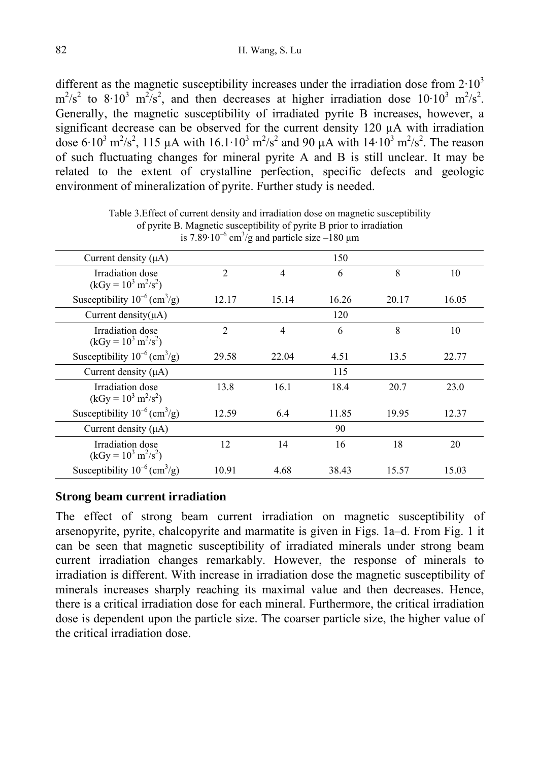different as the magnetic susceptibility increases under the irradiation dose from  $2 \cdot 10^3$  $\text{m}^2/\text{s}^2$  to 8·10<sup>3</sup> m<sup>2</sup>/s<sup>2</sup>, and then decreases at higher irradiation dose 10·10<sup>3</sup> m<sup>2</sup>/s<sup>2</sup>. Generally, the magnetic susceptibility of irradiated pyrite B increases, however, a significant decrease can be observed for the current density 120  $\mu$ A with irradiation dose 6:10<sup>3</sup> m<sup>2</sup>/s<sup>2</sup>, 115 µA with 16.1:10<sup>3</sup> m<sup>2</sup>/s<sup>2</sup> and 90 µA with 14:10<sup>3</sup> m<sup>2</sup>/s<sup>2</sup>. The reason of such fluctuating changes for mineral pyrite A and B is still unclear. It may be related to the extent of crystalline perfection, specific defects and geologic environment of mineralization of pyrite. Further study is needed.

| Current density $(\mu A)$                                 |                |                |       |       |       |
|-----------------------------------------------------------|----------------|----------------|-------|-------|-------|
| Irradiation dose<br>$(kGy = 10^3 \text{ m}^2/\text{s}^2)$ | $\overline{2}$ | $\overline{4}$ | 6     | 8     | 10    |
| Susceptibility $10^{-6}$ (cm <sup>3</sup> /g)             | 12.17          | 15.14          | 16.26 | 20.17 | 16.05 |
| Current density $(\mu A)$                                 |                |                | 120   |       |       |
| Irradiation dose<br>$(kGy = 10^3 \text{ m}^2/\text{s}^2)$ | $\overline{2}$ | $\overline{4}$ | 6     | 8     | 10    |
| Susceptibility $10^{-6}$ (cm <sup>3</sup> /g)             | 29.58          | 22.04          | 4.51  | 13.5  | 22.77 |
| Current density $(\mu A)$                                 |                |                | 115   |       |       |
| Irradiation dose<br>$(kGy = 10^3 m^2/s^2)$                | 13.8           | 16.1           | 18.4  | 20.7  | 23.0  |
| Susceptibility $10^{-6}$ (cm <sup>3</sup> /g)             | 12.59          | 6.4            | 11.85 | 19.95 | 12.37 |
| Current density $(\mu A)$                                 |                |                | 90    |       |       |
| Irradiation dose<br>$(kGy = 10^3 \text{ m}^2/\text{s}^2)$ | 12             | 14             | 16    | 18    | 20    |
| Susceptibility $10^{-6}$ (cm <sup>3</sup> /g)             | 10.91          | 4.68           | 38.43 | 15.57 | 15.03 |

Table 3.Effect of current density and irradiation dose on magnetic susceptibility of pyrite B. Magnetic susceptibility of pyrite B prior to irradiation is 7.89 $\cdot$ 10<sup>-6</sup> cm<sup>3</sup>/g and particle size -180  $\mu$ m

### **Strong beam current irradiation**

The effect of strong beam current irradiation on magnetic susceptibility of arsenopyrite, pyrite, chalcopyrite and marmatite is given in Figs. 1a–d. From Fig. 1 it can be seen that magnetic susceptibility of irradiated minerals under strong beam current irradiation changes remarkably. However, the response of minerals to irradiation is different. With increase in irradiation dose the magnetic susceptibility of minerals increases sharply reaching its maximal value and then decreases. Hence, there is a critical irradiation dose for each mineral. Furthermore, the critical irradiation dose is dependent upon the particle size. The coarser particle size, the higher value of the critical irradiation dose.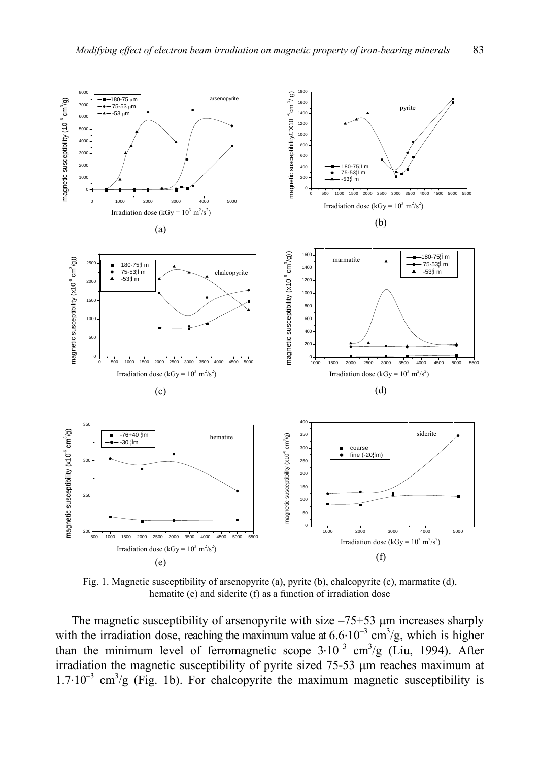

Fig. 1. Magnetic susceptibility of arsenopyrite (a), pyrite (b), chalcopyrite (c), marmatite (d), hematite (e) and siderite (f) as a function of irradiation dose

The magnetic susceptibility of arsenopyrite with size  $-75+53$   $\mu$ m increases sharply with the irradiation dose, reaching the maximum value at  $6.6 \cdot 10^{-3}$  cm<sup>3</sup>/g, which is higher than the minimum level of ferromagnetic scope  $3 \cdot 10^{-3}$  cm<sup>3</sup>/g (Liu, 1994). After irradiation the magnetic susceptibility of pyrite sized 75-53 µm reaches maximum at 1.7∙10–3 cm3 /g (Fig. 1b). For chalcopyrite the maximum magnetic susceptibility is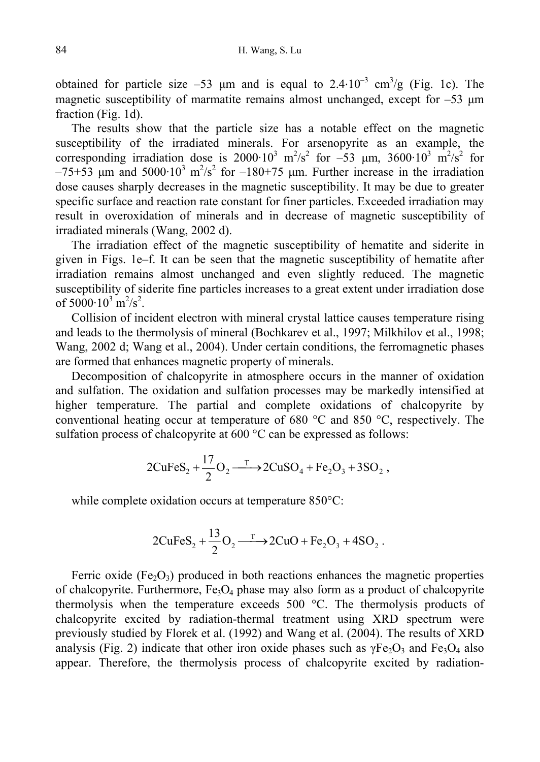obtained for particle size –53 µm and is equal to  $2.4 \cdot 10^{-3}$  cm<sup>3</sup>/g (Fig. 1c). The magnetic susceptibility of marmatite remains almost unchanged, except for  $-53 \mu m$ fraction (Fig. 1d).

The results show that the particle size has a notable effect on the magnetic susceptibility of the irradiated minerals. For arsenopyrite as an example, the corresponding irradiation dose is  $2000 \cdot 10^3$  m<sup>2</sup>/s<sup>2</sup> for -53  $\mu$ m,  $3600 \cdot 10^3$  m<sup>2</sup>/s<sup>2</sup> for  $-75+53$  µm and  $5000 \cdot 10^3$  m<sup>2</sup>/s<sup>2</sup> for  $-180+75$  µm. Further increase in the irradiation dose causes sharply decreases in the magnetic susceptibility. It may be due to greater specific surface and reaction rate constant for finer particles. Exceeded irradiation may result in overoxidation of minerals and in decrease of magnetic susceptibility of irradiated minerals (Wang, 2002 d).

The irradiation effect of the magnetic susceptibility of hematite and siderite in given in Figs. 1e–f. It can be seen that the magnetic susceptibility of hematite after irradiation remains almost unchanged and even slightly reduced. The magnetic susceptibility of siderite fine particles increases to a great extent under irradiation dose of  $5000 \cdot 10^3$  m<sup>2</sup>/s<sup>2</sup>.

Collision of incident electron with mineral crystal lattice causes temperature rising and leads to the thermolysis of mineral (Bochkarev et al., 1997; Milkhilov et al., 1998; Wang, 2002 d; Wang et al., 2004). Under certain conditions, the ferromagnetic phases are formed that enhances magnetic property of minerals.

Decomposition of chalcopyrite in atmosphere occurs in the manner of oxidation and sulfation. The oxidation and sulfation processes may be markedly intensified at higher temperature. The partial and complete oxidations of chalcopyrite by conventional heating occur at temperature of 680 °C and 850 °C, respectively. The sulfation process of chalcopyrite at 600 °C can be expressed as follows:

$$
2CuFeS_2 + \frac{17}{2}O_2 \xrightarrow{\text{T}} 2CuSO_4 + Fe_2O_3 + 3SO_2 ,
$$

while complete oxidation occurs at temperature 850°C:

$$
2CuFeS_2 + \frac{13}{2}O_2 \xrightarrow{\text{T}} 2CuO + Fe_2O_3 + 4SO_2.
$$

Ferric oxide (Fe<sub>2</sub>O<sub>3</sub>) produced in both reactions enhances the magnetic properties of chalcopyrite. Furthermore,  $Fe<sub>3</sub>O<sub>4</sub>$  phase may also form as a product of chalcopyrite thermolysis when the temperature exceeds 500 °C. The thermolysis products of chalcopyrite excited by radiation-thermal treatment using XRD spectrum were previously studied by Florek et al. (1992) and Wang et al. (2004). The results of XRD analysis (Fig. 2) indicate that other iron oxide phases such as  $\gamma Fe_2O_3$  and  $Fe_3O_4$  also appear. Therefore, the thermolysis process of chalcopyrite excited by radiation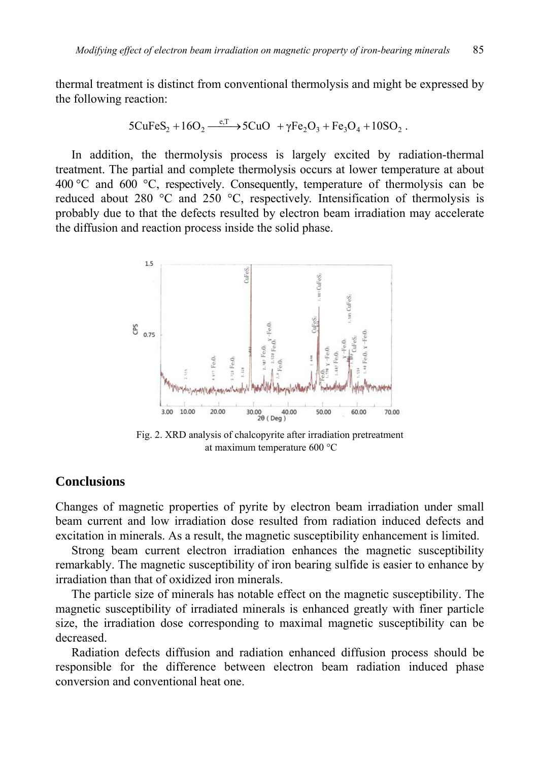thermal treatment is distinct from conventional thermolysis and might be expressed by the following reaction:

$$
5CuFeS_2 + 16O_2 \xrightarrow{e, T} 5CuO + \gamma Fe_2O_3 + Fe_3O_4 + 10SO_2.
$$

In addition, the thermolysis process is largely excited by radiation-thermal treatment. The partial and complete thermolysis occurs at lower temperature at about 400 °C and 600 °C, respectively. Consequently, temperature of thermolysis can be reduced about 280 °C and 250 °C, respectively. Intensification of thermolysis is probably due to that the defects resulted by electron beam irradiation may accelerate the diffusion and reaction process inside the solid phase.



Fig. 2. XRD analysis of chalcopyrite after irradiation pretreatment at maximum temperature 600 °C

# **Conclusions**

Changes of magnetic properties of pyrite by electron beam irradiation under small beam current and low irradiation dose resulted from radiation induced defects and excitation in minerals. As a result, the magnetic susceptibility enhancement is limited.

Strong beam current electron irradiation enhances the magnetic susceptibility remarkably. The magnetic susceptibility of iron bearing sulfide is easier to enhance by irradiation than that of oxidized iron minerals.

The particle size of minerals has notable effect on the magnetic susceptibility. The magnetic susceptibility of irradiated minerals is enhanced greatly with finer particle size, the irradiation dose corresponding to maximal magnetic susceptibility can be decreased.

Radiation defects diffusion and radiation enhanced diffusion process should be responsible for the difference between electron beam radiation induced phase conversion and conventional heat one.